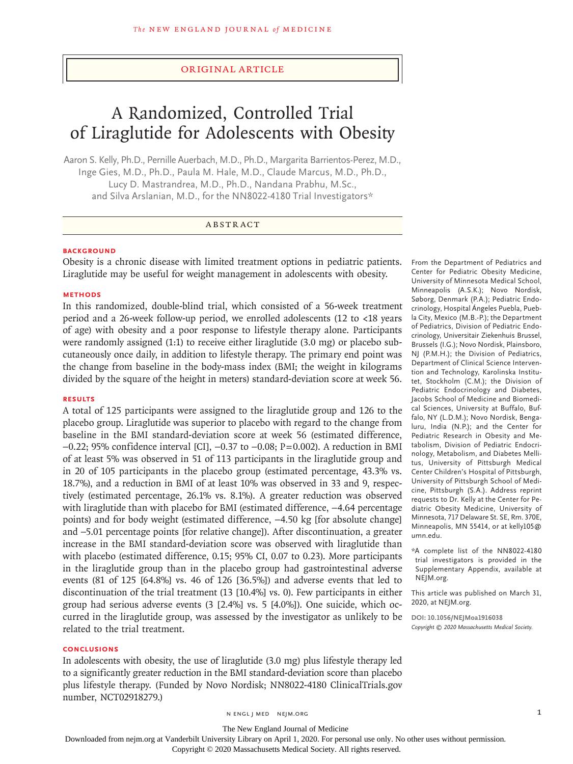# Original Article

# A Randomized, Controlled Trial of Liraglutide for Adolescents with Obesity

Aaron S. Kelly, Ph.D., Pernille Auerbach, M.D., Ph.D., Margarita Barrientos-Perez, M.D., Inge Gies, M.D., Ph.D., Paula M. Hale, M.D., Claude Marcus, M.D., Ph.D., Lucy D. Mastrandrea, M.D., Ph.D., Nandana Prabhu, M.Sc., and Silva Arslanian, M.D., for the NN8022-4180 Trial Investigators\*

# ABSTRACT

# **BACKGROUND**

Obesity is a chronic disease with limited treatment options in pediatric patients. Liraglutide may be useful for weight management in adolescents with obesity.

#### **METHODS**

In this randomized, double-blind trial, which consisted of a 56-week treatment period and a 26-week follow-up period, we enrolled adolescents (12 to <18 years of age) with obesity and a poor response to lifestyle therapy alone. Participants were randomly assigned (1:1) to receive either liraglutide (3.0 mg) or placebo subcutaneously once daily, in addition to lifestyle therapy. The primary end point was the change from baseline in the body-mass index (BMI; the weight in kilograms divided by the square of the height in meters) standard-deviation score at week 56.

#### **RESULTS**

A total of 125 participants were assigned to the liraglutide group and 126 to the placebo group. Liraglutide was superior to placebo with regard to the change from baseline in the BMI standard-deviation score at week 56 (estimated difference, −0.22; 95% confidence interval [CI], −0.37 to −0.08; P=0.002). A reduction in BMI of at least 5% was observed in 51 of 113 participants in the liraglutide group and in 20 of 105 participants in the placebo group (estimated percentage, 43.3% vs. 18.7%), and a reduction in BMI of at least 10% was observed in 33 and 9, respectively (estimated percentage, 26.1% vs. 8.1%). A greater reduction was observed with liraglutide than with placebo for BMI (estimated difference, -4.64 percentage points) and for body weight (estimated difference, -4.50 kg [for absolute change] and −5.01 percentage points [for relative change]). After discontinuation, a greater increase in the BMI standard-deviation score was observed with liraglutide than with placebo (estimated difference, 0.15; 95% CI, 0.07 to 0.23). More participants in the liraglutide group than in the placebo group had gastrointestinal adverse events (81 of 125 [64.8%] vs. 46 of 126 [36.5%]) and adverse events that led to discontinuation of the trial treatment (13 [10.4%] vs. 0). Few participants in either group had serious adverse events (3 [2.4%] vs. 5 [4.0%]). One suicide, which occurred in the liraglutide group, was assessed by the investigator as unlikely to be related to the trial treatment.

#### **CONCLUSIONS**

In adolescents with obesity, the use of liraglutide (3.0 mg) plus lifestyle therapy led to a significantly greater reduction in the BMI standard-deviation score than placebo plus lifestyle therapy. (Funded by Novo Nordisk; NN8022-4180 ClinicalTrials.gov number, NCT02918279.)

From the Department of Pediatrics and Center for Pediatric Obesity Medicine, University of Minnesota Medical School, Minneapolis (A.S.K.); Novo Nordisk, Søborg, Denmark (P.A.); Pediatric Endocrinology, Hospital Ángeles Puebla, Puebla City, Mexico (M.B.-P.); the Department of Pediatrics, Division of Pediatric Endocrinology, Universitair Ziekenhuis Brussel, Brussels (I.G.); Novo Nordisk, Plainsboro, NJ (P.M.H.); the Division of Pediatrics, Department of Clinical Science Intervention and Technology, Karolinska Institutet, Stockholm (C.M.); the Division of Pediatric Endocrinology and Diabetes, Jacobs School of Medicine and Biomedical Sciences, University at Buffalo, Buffalo, NY (L.D.M.); Novo Nordisk, Bengaluru, India (N.P.); and the Center for Pediatric Research in Obesity and Metabolism, Division of Pediatric Endocrinology, Metabolism, and Diabetes Mellitus, University of Pittsburgh Medical Center Children's Hospital of Pittsburgh, University of Pittsburgh School of Medicine, Pittsburgh (S.A.). Address reprint requests to Dr. Kelly at the Center for Pediatric Obesity Medicine, University of Minnesota, 717 Delaware St. SE, Rm. 370E, Minneapolis, MN 55414, or at kelly105@ umn.edu.

\*A complete list of the NN8022-4180 trial investigators is provided in the Supplementary Appendix, available at NEJM.org.

This article was published on March 31, 2020, at NEJM.org.

**DOI: 10.1056/NEJMoa1916038** *Copyright © 2020 Massachusetts Medical Society.*

n engl j med nejm.org 1

The New England Journal of Medicine

Downloaded from nejm.org at Vanderbilt University Library on April 1, 2020. For personal use only. No other uses without permission.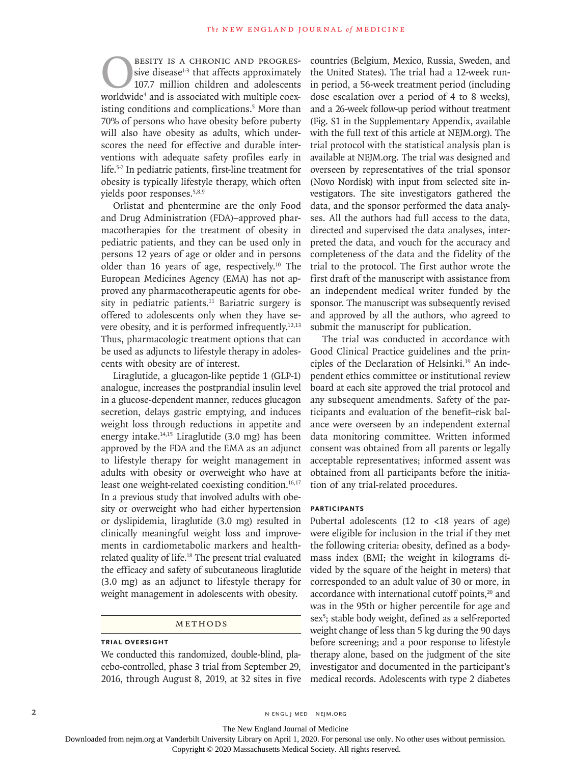**EXAMPLE SERVITTE A CHRONIC AND PROGRES-**<br>sive disease<sup>1-3</sup> that affects approximately<br>107.7 million children and adolescents<br>worldwide<sup>4</sup> and is associated with multiple coexsive disease<sup>1-3</sup> that affects approximately 107.7 million children and adolescents worldwide4 and is associated with multiple coexisting conditions and complications.<sup>5</sup> More than 70% of persons who have obesity before puberty will also have obesity as adults, which underscores the need for effective and durable interventions with adequate safety profiles early in life.5-7 In pediatric patients, first-line treatment for obesity is typically lifestyle therapy, which often yields poor responses.5,8,9

Orlistat and phentermine are the only Food and Drug Administration (FDA)–approved pharmacotherapies for the treatment of obesity in pediatric patients, and they can be used only in persons 12 years of age or older and in persons older than 16 years of age, respectively.10 The European Medicines Agency (EMA) has not approved any pharmacotherapeutic agents for obesity in pediatric patients. $11$  Bariatric surgery is offered to adolescents only when they have severe obesity, and it is performed infrequently.<sup>12,13</sup> Thus, pharmacologic treatment options that can be used as adjuncts to lifestyle therapy in adolescents with obesity are of interest.

Liraglutide, a glucagon-like peptide 1 (GLP-1) analogue, increases the postprandial insulin level in a glucose-dependent manner, reduces glucagon secretion, delays gastric emptying, and induces weight loss through reductions in appetite and energy intake.14,15 Liraglutide (3.0 mg) has been approved by the FDA and the EMA as an adjunct to lifestyle therapy for weight management in adults with obesity or overweight who have at least one weight-related coexisting condition.<sup>16,17</sup> In a previous study that involved adults with obesity or overweight who had either hypertension or dyslipidemia, liraglutide (3.0 mg) resulted in clinically meaningful weight loss and improvements in cardiometabolic markers and healthrelated quality of life.<sup>18</sup> The present trial evaluated the efficacy and safety of subcutaneous liraglutide (3.0 mg) as an adjunct to lifestyle therapy for weight management in adolescents with obesity.

# Methods

#### **Trial Oversight**

We conducted this randomized, double-blind, placebo-controlled, phase 3 trial from September 29, 2016, through August 8, 2019, at 32 sites in five countries (Belgium, Mexico, Russia, Sweden, and the United States). The trial had a 12-week runin period, a 56-week treatment period (including dose escalation over a period of 4 to 8 weeks), and a 26-week follow-up period without treatment (Fig. S1 in the Supplementary Appendix, available with the full text of this article at NEJM.org). The trial protocol with the statistical analysis plan is available at NEJM.org. The trial was designed and overseen by representatives of the trial sponsor (Novo Nordisk) with input from selected site investigators. The site investigators gathered the data, and the sponsor performed the data analyses. All the authors had full access to the data, directed and supervised the data analyses, interpreted the data, and vouch for the accuracy and completeness of the data and the fidelity of the trial to the protocol. The first author wrote the first draft of the manuscript with assistance from an independent medical writer funded by the sponsor. The manuscript was subsequently revised and approved by all the authors, who agreed to submit the manuscript for publication.

The trial was conducted in accordance with Good Clinical Practice guidelines and the principles of the Declaration of Helsinki.<sup>19</sup> An independent ethics committee or institutional review board at each site approved the trial protocol and any subsequent amendments. Safety of the participants and evaluation of the benefit–risk balance were overseen by an independent external data monitoring committee. Written informed consent was obtained from all parents or legally acceptable representatives; informed assent was obtained from all participants before the initiation of any trial-related procedures.

#### **Participants**

Pubertal adolescents (12 to <18 years of age) were eligible for inclusion in the trial if they met the following criteria: obesity, defined as a bodymass index (BMI; the weight in kilograms divided by the square of the height in meters) that corresponded to an adult value of 30 or more, in accordance with international cutoff points,<sup>20</sup> and was in the 95th or higher percentile for age and sex<sup>5</sup>; stable body weight, defined as a self-reported weight change of less than 5 kg during the 90 days before screening; and a poor response to lifestyle therapy alone, based on the judgment of the site investigator and documented in the participant's medical records. Adolescents with type 2 diabetes

2 N ENGL J MED NEJM.ORG

The New England Journal of Medicine

Downloaded from nejm.org at Vanderbilt University Library on April 1, 2020. For personal use only. No other uses without permission.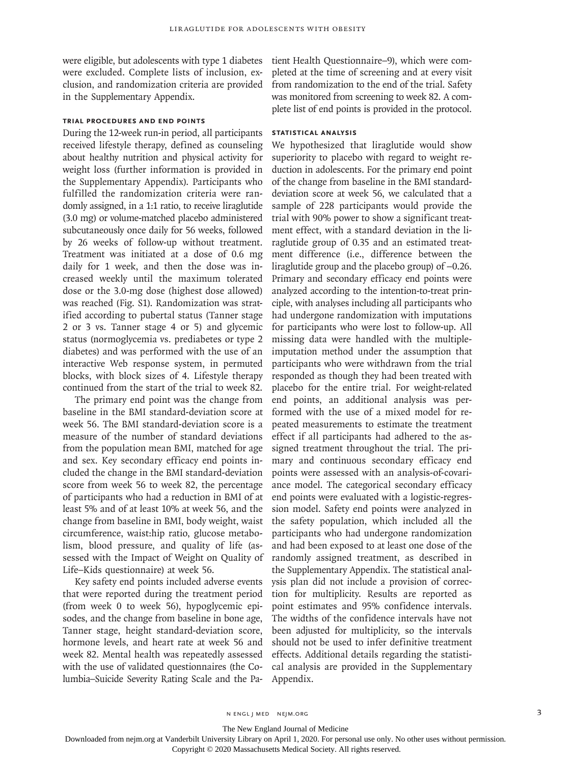were eligible, but adolescents with type 1 diabetes were excluded. Complete lists of inclusion, exclusion, and randomization criteria are provided in the Supplementary Appendix.

# **Trial Procedures and End Points**

During the 12-week run-in period, all participants received lifestyle therapy, defined as counseling about healthy nutrition and physical activity for weight loss (further information is provided in the Supplementary Appendix). Participants who fulfilled the randomization criteria were randomly assigned, in a 1:1 ratio, to receive liraglutide (3.0 mg) or volume-matched placebo administered subcutaneously once daily for 56 weeks, followed by 26 weeks of follow-up without treatment. Treatment was initiated at a dose of 0.6 mg daily for 1 week, and then the dose was increased weekly until the maximum tolerated dose or the 3.0-mg dose (highest dose allowed) was reached (Fig. S1). Randomization was stratified according to pubertal status (Tanner stage 2 or 3 vs. Tanner stage 4 or 5) and glycemic status (normoglycemia vs. prediabetes or type 2 diabetes) and was performed with the use of an interactive Web response system, in permuted blocks, with block sizes of 4. Lifestyle therapy continued from the start of the trial to week 82.

The primary end point was the change from baseline in the BMI standard-deviation score at week 56. The BMI standard-deviation score is a measure of the number of standard deviations from the population mean BMI, matched for age and sex. Key secondary efficacy end points included the change in the BMI standard-deviation score from week 56 to week 82, the percentage of participants who had a reduction in BMI of at least 5% and of at least 10% at week 56, and the change from baseline in BMI, body weight, waist circumference, waist:hip ratio, glucose metabolism, blood pressure, and quality of life (assessed with the Impact of Weight on Quality of Life–Kids questionnaire) at week 56.

Key safety end points included adverse events that were reported during the treatment period (from week 0 to week 56), hypoglycemic episodes, and the change from baseline in bone age, Tanner stage, height standard-deviation score, hormone levels, and heart rate at week 56 and week 82. Mental health was repeatedly assessed with the use of validated questionnaires (the Columbia–Suicide Severity Rating Scale and the Patient Health Questionnaire–9), which were completed at the time of screening and at every visit from randomization to the end of the trial. Safety was monitored from screening to week 82. A complete list of end points is provided in the protocol.

# **Statistical Analysis**

We hypothesized that liraglutide would show superiority to placebo with regard to weight reduction in adolescents. For the primary end point of the change from baseline in the BMI standarddeviation score at week 56, we calculated that a sample of 228 participants would provide the trial with 90% power to show a significant treatment effect, with a standard deviation in the liraglutide group of 0.35 and an estimated treatment difference (i.e., difference between the liraglutide group and the placebo group) of −0.26. Primary and secondary efficacy end points were analyzed according to the intention-to-treat principle, with analyses including all participants who had undergone randomization with imputations for participants who were lost to follow-up. All missing data were handled with the multipleimputation method under the assumption that participants who were withdrawn from the trial responded as though they had been treated with placebo for the entire trial. For weight-related end points, an additional analysis was performed with the use of a mixed model for repeated measurements to estimate the treatment effect if all participants had adhered to the assigned treatment throughout the trial. The primary and continuous secondary efficacy end points were assessed with an analysis-of-covariance model. The categorical secondary efficacy end points were evaluated with a logistic-regression model. Safety end points were analyzed in the safety population, which included all the participants who had undergone randomization and had been exposed to at least one dose of the randomly assigned treatment, as described in the Supplementary Appendix. The statistical analysis plan did not include a provision of correction for multiplicity. Results are reported as point estimates and 95% confidence intervals. The widths of the confidence intervals have not been adjusted for multiplicity, so the intervals should not be used to infer definitive treatment effects. Additional details regarding the statistical analysis are provided in the Supplementary Appendix.

n engl j med nejm.org 3

The New England Journal of Medicine

Downloaded from nejm.org at Vanderbilt University Library on April 1, 2020. For personal use only. No other uses without permission.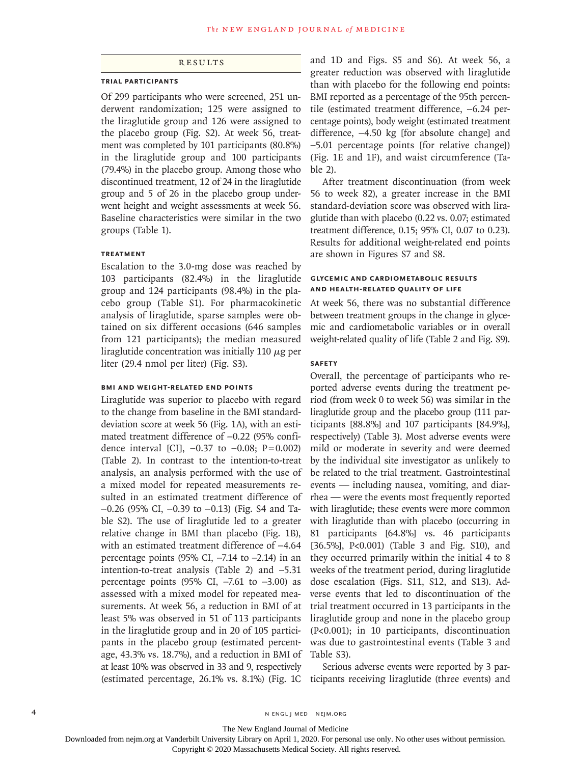# Results

#### **Trial Participants**

Of 299 participants who were screened, 251 underwent randomization; 125 were assigned to the liraglutide group and 126 were assigned to the placebo group (Fig. S2). At week 56, treatment was completed by 101 participants (80.8%) in the liraglutide group and 100 participants (79.4%) in the placebo group. Among those who discontinued treatment, 12 of 24 in the liraglutide group and 5 of 26 in the placebo group underwent height and weight assessments at week 56. Baseline characteristics were similar in the two groups (Table 1).

# **Treatment**

Escalation to the 3.0-mg dose was reached by 103 participants (82.4%) in the liraglutide group and 124 participants (98.4%) in the placebo group (Table S1). For pharmacokinetic analysis of liraglutide, sparse samples were obtained on six different occasions (646 samples from 121 participants); the median measured liraglutide concentration was initially 110  $\mu$ g per liter (29.4 nmol per liter) (Fig. S3).

# **BMI and Weight-Related End Points**

Liraglutide was superior to placebo with regard to the change from baseline in the BMI standarddeviation score at week 56 (Fig. 1A), with an estimated treatment difference of −0.22 (95% confidence interval [CI],  $-0.37$  to  $-0.08$ ; P=0.002) (Table 2). In contrast to the intention-to-treat analysis, an analysis performed with the use of a mixed model for repeated measurements resulted in an estimated treatment difference of −0.26 (95% CI, −0.39 to −0.13) (Fig. S4 and Table S2). The use of liraglutide led to a greater relative change in BMI than placebo (Fig. 1B), with an estimated treatment difference of −4.64 percentage points (95% CI, −7.14 to –2.14) in an intention-to-treat analysis (Table 2) and −5.31 percentage points (95% CI,  $-7.61$  to  $-3.00$ ) as assessed with a mixed model for repeated measurements. At week 56, a reduction in BMI of at least 5% was observed in 51 of 113 participants in the liraglutide group and in 20 of 105 participants in the placebo group (estimated percentage, 43.3% vs. 18.7%), and a reduction in BMI of at least 10% was observed in 33 and 9, respectively (estimated percentage, 26.1% vs. 8.1%) (Fig. 1C

and 1D and Figs. S5 and S6). At week 56, a greater reduction was observed with liraglutide than with placebo for the following end points: BMI reported as a percentage of the 95th percentile (estimated treatment difference, −6.24 percentage points), body weight (estimated treatment difference, −4.50 kg [for absolute change] and −5.01 percentage points [for relative change]) (Fig. 1E and 1F), and waist circumference (Table 2).

After treatment discontinuation (from week 56 to week 82), a greater increase in the BMI standard-deviation score was observed with liraglutide than with placebo (0.22 vs. 0.07; estimated treatment difference, 0.15; 95% CI, 0.07 to 0.23). Results for additional weight-related end points are shown in Figures S7 and S8.

# **Glycemic and Cardiometabolic Results and Health-Related Quality of Life**

At week 56, there was no substantial difference between treatment groups in the change in glycemic and cardiometabolic variables or in overall weight-related quality of life (Table 2 and Fig. S9).

#### **Safety**

Overall, the percentage of participants who reported adverse events during the treatment period (from week 0 to week 56) was similar in the liraglutide group and the placebo group (111 participants [88.8%] and 107 participants [84.9%], respectively) (Table 3). Most adverse events were mild or moderate in severity and were deemed by the individual site investigator as unlikely to be related to the trial treatment. Gastrointestinal events — including nausea, vomiting, and diarrhea — were the events most frequently reported with liraglutide; these events were more common with liraglutide than with placebo (occurring in 81 participants [64.8%] vs. 46 participants [36.5%], P<0.001) (Table 3 and Fig. S10), and they occurred primarily within the initial 4 to 8 weeks of the treatment period, during liraglutide dose escalation (Figs. S11, S12, and S13). Adverse events that led to discontinuation of the trial treatment occurred in 13 participants in the liraglutide group and none in the placebo group (P<0.001); in 10 participants, discontinuation was due to gastrointestinal events (Table 3 and Table S3).

Serious adverse events were reported by 3 participants receiving liraglutide (three events) and

The New England Journal of Medicine

Downloaded from nejm.org at Vanderbilt University Library on April 1, 2020. For personal use only. No other uses without permission.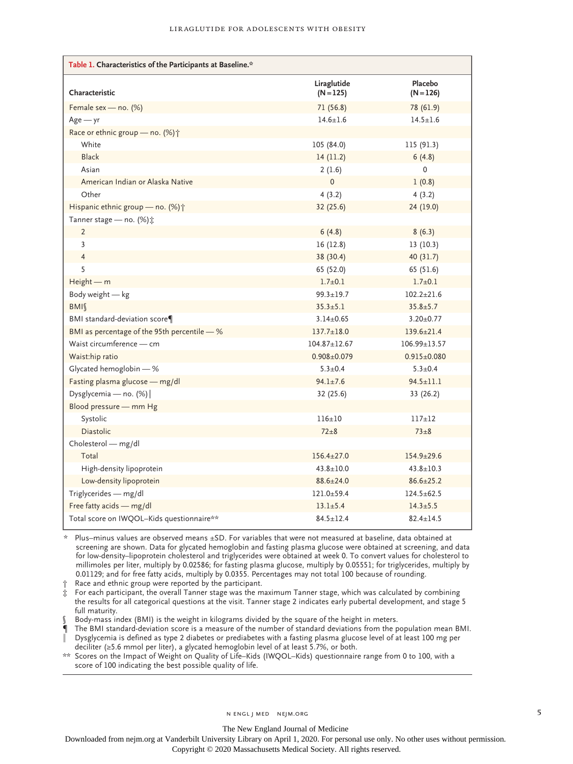| Table 1. Characteristics of the Participants at Baseline.* |                            |                        |
|------------------------------------------------------------|----------------------------|------------------------|
| Characteristic                                             | Liraglutide<br>$(N = 125)$ | Placebo<br>$(N = 126)$ |
| Female sex - no. (%)                                       | 71(56.8)                   | 78 (61.9)              |
| $Age - yr$                                                 | $14.6 + 1.6$               | $14.5 + 1.6$           |
| Race or ethnic group - no. (%) +                           |                            |                        |
| White                                                      | 105 (84.0)                 | 115 (91.3)             |
| <b>Black</b>                                               | 14(11.2)                   | 6(4.8)                 |
| Asian                                                      | 2(1.6)                     | $\mathbf 0$            |
| American Indian or Alaska Native                           | $\mathbf 0$                | 1(0.8)                 |
| Other                                                      | 4(3.2)                     | 4(3.2)                 |
| Hispanic ethnic group - no. (%) +                          | 32 (25.6)                  | 24 (19.0)              |
| Tanner stage - no. (%) $\ddagger$                          |                            |                        |
| $\overline{2}$                                             | 6(4.8)                     | 8(6.3)                 |
| 3                                                          | 16(12.8)                   | 13(10.3)               |
| $\overline{4}$                                             | 38 (30.4)                  | 40(31.7)               |
| 5                                                          | 65 (52.0)                  | 65 (51.6)              |
| $Height - m$                                               | $1.7 \pm 0.1$              | $1.7 \pm 0.1$          |
| Body weight - kg                                           | $99.3 + 19.7$              | $102.2 + 21.6$         |
| BMI                                                        | $35.3 \pm 5.1$             | $35.8 + 5.7$           |
| BMI standard-deviation score¶                              | $3.14 \pm 0.65$            | $3.20 \pm 0.77$        |
| BMI as percentage of the 95th percentile - %               | $137.7 \pm 18.0$           | $139.6 \pm 21.4$       |
| Waist circumference - cm                                   | $104.87 \pm 12.67$         | $106.99 \pm 13.57$     |
| Waist:hip ratio                                            | $0.908 \pm 0.079$          | $0.915 \pm 0.080$      |
| Glycated hemoglobin - %                                    | $5.3 \pm 0.4$              | $5.3 \pm 0.4$          |
| Fasting plasma glucose - mg/dl                             | $94.1 + 7.6$               | $94.5 \pm 11.1$        |
| Dysglycemia - no. (%)                                      | 32 (25.6)                  | 33 (26.2)              |
| Blood pressure - mm Hg                                     |                            |                        |
| Systolic                                                   | $116 \pm 10$               | $117 + 12$             |
| <b>Diastolic</b>                                           | $72\pm8$                   | $73\pm8$               |
| Cholesterol - mg/dl                                        |                            |                        |
| Total                                                      | $156.4 \pm 27.0$           | $154.9 \pm 29.6$       |
| High-density lipoprotein                                   | $43.8 + 10.0$              | $43.8 + 10.3$          |
| Low-density lipoprotein                                    | $88.6 \pm 24.0$            | $86.6 \pm 25.2$        |
| Triglycerides - mg/dl                                      | $121.0 + 59.4$             | $124.5 + 62.5$         |
| Free fatty acids - mg/dl                                   | $13.1 + 5.4$               | $14.3 \pm 5.5$         |
| Total score on IWQOL-Kids questionnaire**                  | $84.5 + 12.4$              | $82.4 + 14.5$          |

\* Plus–minus values are observed means ±SD. For variables that were not measured at baseline, data obtained at screening are shown. Data for glycated hemoglobin and fasting plasma glucose were obtained at screening, and data for low-density–lipoprotein cholesterol and triglycerides were obtained at week 0. To convert values for cholesterol to millimoles per liter, multiply by 0.02586; for fasting plasma glucose, multiply by 0.05551; for triglycerides, multiply by 0.01129; and for free fatty acids, multiply by 0.0355. Percentages may not total 100 because of rounding.

† Race and ethnic group were reported by the participant.

‡ For each participant, the overall Tanner stage was the maximum Tanner stage, which was calculated by combining the results for all categorical questions at the visit. Tanner stage 2 indicates early pubertal development, and stage 5 full maturity.

Body-mass index (BMI) is the weight in kilograms divided by the square of the height in meters.

¶ The BMI standard-deviation score is a measure of the number of standard deviations from the population mean BMI. ‖ Dysglycemia is defined as type 2 diabetes or prediabetes with a fasting plasma glucose level of at least 100 mg per

deciliter (≥5.6 mmol per liter), a glycated hemoglobin level of at least 5.7%, or both. \*\* Scores on the Impact of Weight on Quality of Life–Kids (IWQOL–Kids) questionnaire range from 0 to 100, with a

score of 100 indicating the best possible quality of life.

n engl j med nejm.org 5

The New England Journal of Medicine

Downloaded from nejm.org at Vanderbilt University Library on April 1, 2020. For personal use only. No other uses without permission.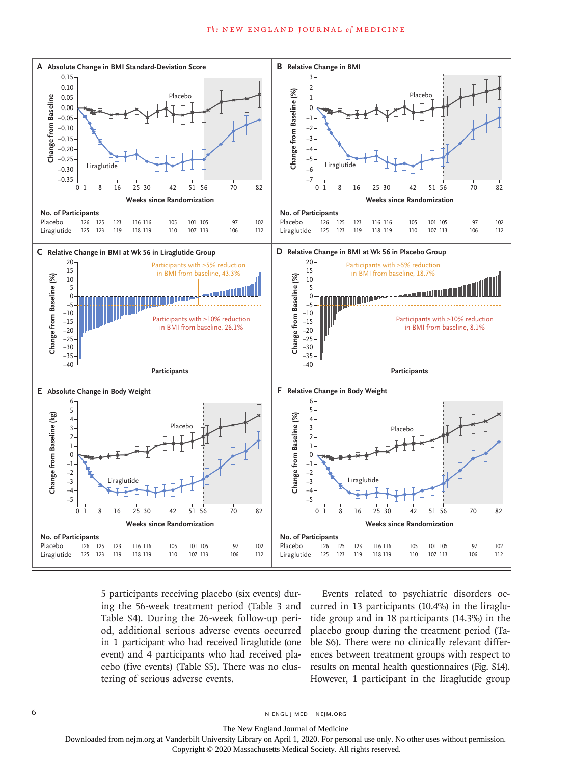#### The NEW ENGLAND JOURNAL of MEDICINE



5 participants receiving placebo (six events) during the 56-week treatment period (Table 3 and Table S4). During the 26-week follow-up period, additional serious adverse events occurred in 1 participant who had received liraglutide (one event) and 4 participants who had received placebo (five events) (Table S5). There was no clustering of serious adverse events.

Events related to psychiatric disorders occurred in 13 participants (10.4%) in the liraglutide group and in 18 participants (14.3%) in the placebo group during the treatment period (Table S6). There were no clinically relevant differences between treatment groups with respect to results on mental health questionnaires (Fig. S14). However, 1 participant in the liraglutide group

6 **n** engl j med nejm.org neighbors in the neutral media  $\frac{1}{2}$  media  $\frac{1}{2}$  media  $\frac{1}{2}$  media  $\frac{1}{2}$  media  $\frac{1}{2}$  media  $\frac{1}{2}$  media  $\frac{1}{2}$  media  $\frac{1}{2}$  media  $\frac{1}{2}$  media  $\frac{1}{2}$  media  $\frac{1$ 

The New England Journal of Medicine

Downloaded from nejm.org at Vanderbilt University Library on April 1, 2020. For personal use only. No other uses without permission.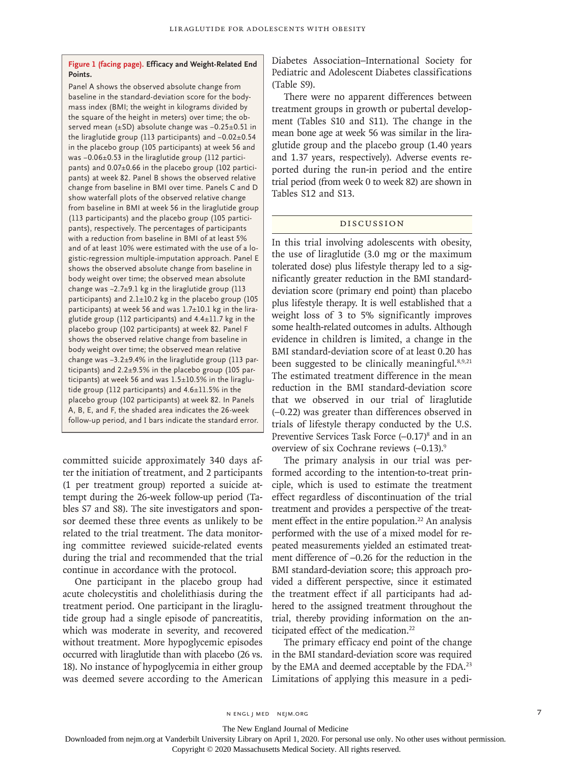# **Figure 1 (facing page). Efficacy and Weight-Related End Points.**

Panel A shows the observed absolute change from baseline in the standard-deviation score for the bodymass index (BMI; the weight in kilograms divided by the square of the height in meters) over time; the observed mean (±SD) absolute change was -0.25±0.51 in the liraglutide group (113 participants) and −0.02±0.54 in the placebo group (105 participants) at week 56 and was −0.06±0.53 in the liraglutide group (112 participants) and 0.07±0.66 in the placebo group (102 participants) at week 82. Panel B shows the observed relative change from baseline in BMI over time. Panels C and D show waterfall plots of the observed relative change from baseline in BMI at week 56 in the liraglutide group (113 participants) and the placebo group (105 participants), respectively. The percentages of participants with a reduction from baseline in BMI of at least 5% and of at least 10% were estimated with the use of a logistic-regression multiple-imputation approach. Panel E shows the observed absolute change from baseline in body weight over time; the observed mean absolute change was −2.7±9.1 kg in the liraglutide group (113 participants) and 2.1±10.2 kg in the placebo group (105 participants) at week 56 and was 1.7±10.1 kg in the liraglutide group (112 participants) and 4.4±11.7 kg in the placebo group (102 participants) at week 82. Panel F shows the observed relative change from baseline in body weight over time; the observed mean relative change was −3.2±9.4% in the liraglutide group (113 participants) and 2.2±9.5% in the placebo group (105 participants) at week 56 and was 1.5±10.5% in the liraglutide group (112 participants) and 4.6±11.5% in the placebo group (102 participants) at week 82. In Panels A, B, E, and F, the shaded area indicates the 26-week follow-up period, and I bars indicate the standard error.

committed suicide approximately 340 days after the initiation of treatment, and 2 participants (1 per treatment group) reported a suicide attempt during the 26-week follow-up period (Tables S7 and S8). The site investigators and sponsor deemed these three events as unlikely to be related to the trial treatment. The data monitoring committee reviewed suicide-related events during the trial and recommended that the trial continue in accordance with the protocol.

One participant in the placebo group had acute cholecystitis and cholelithiasis during the treatment period. One participant in the liraglutide group had a single episode of pancreatitis, which was moderate in severity, and recovered without treatment. More hypoglycemic episodes occurred with liraglutide than with placebo (26 vs. 18). No instance of hypoglycemia in either group was deemed severe according to the American

Diabetes Association–International Society for Pediatric and Adolescent Diabetes classifications (Table S9).

There were no apparent differences between treatment groups in growth or pubertal development (Tables S10 and S11). The change in the mean bone age at week 56 was similar in the liraglutide group and the placebo group (1.40 years and 1.37 years, respectively). Adverse events reported during the run-in period and the entire trial period (from week 0 to week 82) are shown in Tables S12 and S13.

#### Discussion

In this trial involving adolescents with obesity, the use of liraglutide (3.0 mg or the maximum tolerated dose) plus lifestyle therapy led to a significantly greater reduction in the BMI standarddeviation score (primary end point) than placebo plus lifestyle therapy. It is well established that a weight loss of 3 to 5% significantly improves some health-related outcomes in adults. Although evidence in children is limited, a change in the BMI standard-deviation score of at least 0.20 has been suggested to be clinically meaningful.<sup>8,9,21</sup> The estimated treatment difference in the mean reduction in the BMI standard-deviation score that we observed in our trial of liraglutide (–0.22) was greater than differences observed in trials of lifestyle therapy conducted by the U.S. Preventive Services Task Force  $(-0.17)^8$  and in an overview of six Cochrane reviews (–0.13).9

The primary analysis in our trial was performed according to the intention-to-treat principle, which is used to estimate the treatment effect regardless of discontinuation of the trial treatment and provides a perspective of the treatment effect in the entire population.<sup>22</sup> An analysis performed with the use of a mixed model for repeated measurements yielded an estimated treatment difference of –0.26 for the reduction in the BMI standard-deviation score; this approach provided a different perspective, since it estimated the treatment effect if all participants had adhered to the assigned treatment throughout the trial, thereby providing information on the anticipated effect of the medication.<sup>22</sup>

The primary efficacy end point of the change in the BMI standard-deviation score was required by the EMA and deemed acceptable by the FDA.<sup>23</sup> Limitations of applying this measure in a pedi-

n engl j med nejm.org 7

The New England Journal of Medicine

Downloaded from nejm.org at Vanderbilt University Library on April 1, 2020. For personal use only. No other uses without permission.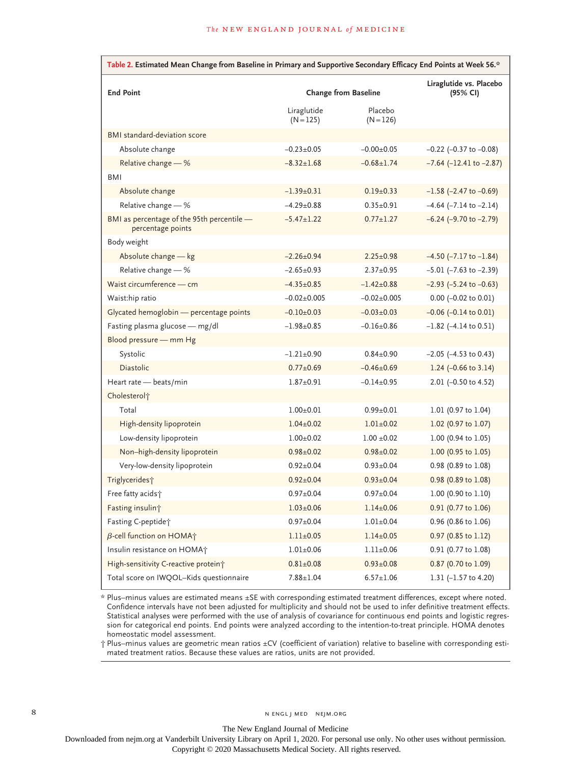| Table 2. Estimated Mean Change from Baseline in Primary and Supportive Secondary Efficacy End Points at Week 56.* |                             |                                     |                                 |  |  |  |  |  |
|-------------------------------------------------------------------------------------------------------------------|-----------------------------|-------------------------------------|---------------------------------|--|--|--|--|--|
| <b>End Point</b>                                                                                                  | <b>Change from Baseline</b> | Liraglutide vs. Placebo<br>(95% CI) |                                 |  |  |  |  |  |
|                                                                                                                   | Liraglutide<br>$(N = 125)$  | Placebo<br>$(N = 126)$              |                                 |  |  |  |  |  |
| BMI standard-deviation score                                                                                      |                             |                                     |                                 |  |  |  |  |  |
| Absolute change                                                                                                   | $-0.23 + 0.05$              | $-0.00+0.05$                        | $-0.22$ ( $-0.37$ to $-0.08$ )  |  |  |  |  |  |
| Relative change $-$ %                                                                                             | $-8.32 \pm 1.68$            | $-0.68 \pm 1.74$                    | $-7.64$ ( $-12.41$ to $-2.87$ ) |  |  |  |  |  |
| BMI                                                                                                               |                             |                                     |                                 |  |  |  |  |  |
| Absolute change                                                                                                   | $-1.39+0.31$                | $0.19 \pm 0.33$                     | $-1.58$ (-2.47 to $-0.69$ )     |  |  |  |  |  |
| Relative change - %                                                                                               | $-4.29 \pm 0.88$            | $0.35 \pm 0.91$                     | $-4.64$ ( $-7.14$ to $-2.14$ )  |  |  |  |  |  |
| BMI as percentage of the 95th percentile -<br>percentage points                                                   | $-5.47 \pm 1.22$            | $0.77 \pm 1.27$                     | $-6.24$ ( $-9.70$ to $-2.79$ )  |  |  |  |  |  |
| Body weight                                                                                                       |                             |                                     |                                 |  |  |  |  |  |
| Absolute change - kg                                                                                              | $-2.26+0.94$                | $2.25 \pm 0.98$                     | $-4.50$ ( $-7.17$ to $-1.84$ )  |  |  |  |  |  |
| Relative change - %                                                                                               | $-2.65+0.93$                | $2.37 \pm 0.95$                     | $-5.01$ ( $-7.63$ to $-2.39$ )  |  |  |  |  |  |
| Waist circumference - cm                                                                                          | $-4.35 \pm 0.85$            | $-1.42 \pm 0.88$                    | $-2.93$ ( $-5.24$ to $-0.63$ )  |  |  |  |  |  |
| Waist:hip ratio                                                                                                   | $-0.02 \pm 0.005$           | $-0.02 \pm 0.005$                   | $0.00$ (-0.02 to 0.01)          |  |  |  |  |  |
| Glycated hemoglobin - percentage points                                                                           | $-0.10+0.03$                | $-0.03 \pm 0.03$                    | $-0.06$ $(-0.14$ to $0.01)$     |  |  |  |  |  |
| Fasting plasma glucose - mg/dl                                                                                    | $-1.98 + 0.85$              | $-0.16 + 0.86$                      | $-1.82$ ( $-4.14$ to 0.51)      |  |  |  |  |  |
| Blood pressure - mm Hg                                                                                            |                             |                                     |                                 |  |  |  |  |  |
| Systolic                                                                                                          | $-1.21 \pm 0.90$            | $0.84 \pm 0.90$                     | $-2.05$ ( $-4.53$ to 0.43)      |  |  |  |  |  |
| <b>Diastolic</b>                                                                                                  | $0.77 \pm 0.69$             | $-0.46 \pm 0.69$                    | 1.24 $(-0.66 \text{ to } 3.14)$ |  |  |  |  |  |
| Heart rate - beats/min                                                                                            | $1.87 \pm 0.91$             | $-0.14+0.95$                        | 2.01 (-0.50 to 4.52)            |  |  |  |  |  |
| Cholesterol <sup>+</sup>                                                                                          |                             |                                     |                                 |  |  |  |  |  |
| Total                                                                                                             | $1.00 \pm 0.01$             | $0.99 \pm 0.01$                     | 1.01 (0.97 to 1.04)             |  |  |  |  |  |
| High-density lipoprotein                                                                                          | $1.04 \pm 0.02$             | $1.01 \pm 0.02$                     | 1.02 (0.97 to 1.07)             |  |  |  |  |  |
| Low-density lipoprotein                                                                                           | $1.00 \pm 0.02$             | $1.00 \pm 0.02$                     | 1.00 (0.94 to 1.05)             |  |  |  |  |  |
| Non-high-density lipoprotein                                                                                      | $0.98 \pm 0.02$             | $0.98 \pm 0.02$                     | $1.00$ (0.95 to 1.05)           |  |  |  |  |  |
| Very-low-density lipoprotein                                                                                      | $0.92 \pm 0.04$             | $0.93 \pm 0.04$                     | 0.98 (0.89 to 1.08)             |  |  |  |  |  |
| Triglycerides <sup>+</sup>                                                                                        | $0.92 \pm 0.04$             | $0.93 \pm 0.04$                     | 0.98 (0.89 to 1.08)             |  |  |  |  |  |
| Free fatty acids+                                                                                                 | $0.97 + 0.04$               | $0.97 + 0.04$                       | $1.00$ (0.90 to $1.10$ )        |  |  |  |  |  |
| Fasting insulint                                                                                                  | $1.03 \pm 0.06$             | $1.14 \pm 0.06$                     | 0.91 (0.77 to 1.06)             |  |  |  |  |  |
| Fasting C-peptide <sup>+</sup>                                                                                    | $0.97 + 0.04$               | $1.01 \pm 0.04$                     | 0.96 (0.86 to 1.06)             |  |  |  |  |  |
| $\beta$ -cell function on HOMA $\uparrow$                                                                         | $1.11 \pm 0.05$             | $1.14 \pm 0.05$                     | 0.97 (0.85 to 1.12)             |  |  |  |  |  |
| Insulin resistance on HOMA+                                                                                       | $1.01 \pm 0.06$             | $1.11 \pm 0.06$                     | 0.91 (0.77 to 1.08)             |  |  |  |  |  |
| High-sensitivity C-reactive protein <sup>†</sup>                                                                  | $0.81 \pm 0.08$             | $0.93 \pm 0.08$                     | 0.87 (0.70 to 1.09)             |  |  |  |  |  |
| Total score on IWQOL-Kids questionnaire                                                                           | $7.88 \pm 1.04$             | $6.57 \pm 1.06$                     | 1.31 $(-1.57$ to 4.20)          |  |  |  |  |  |

\* Plus–minus values are estimated means ±SE with corresponding estimated treatment differences, except where noted. Confidence intervals have not been adjusted for multiplicity and should not be used to infer definitive treatment effects. Statistical analyses were performed with the use of analysis of covariance for continuous end points and logistic regression for categorical end points. End points were analyzed according to the intention-to-treat principle. HOMA denotes homeostatic model assessment.

† Plus–minus values are geometric mean ratios ±CV (coefficient of variation) relative to baseline with corresponding estimated treatment ratios. Because these values are ratios, units are not provided.

The New England Journal of Medicine

Downloaded from nejm.org at Vanderbilt University Library on April 1, 2020. For personal use only. No other uses without permission.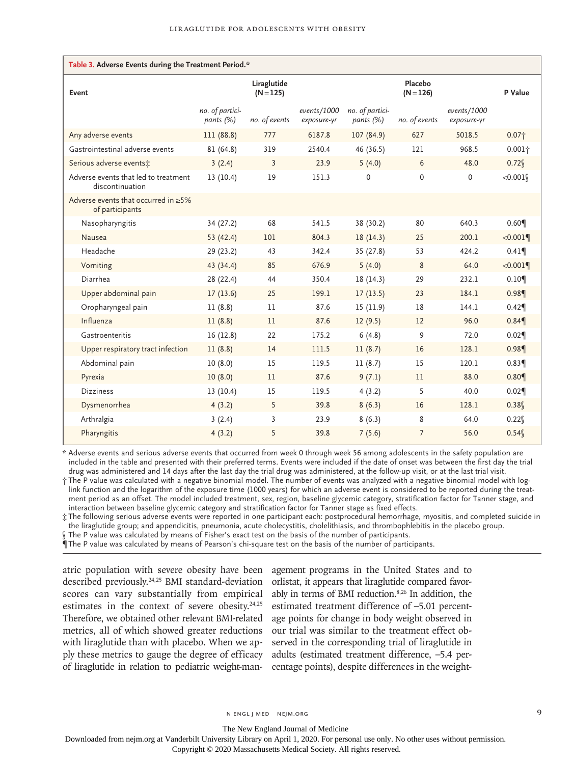| Table 3. Adverse Events during the Treatment Period.*         |                              |                            |                            |                                 |                        |                            |                   |  |
|---------------------------------------------------------------|------------------------------|----------------------------|----------------------------|---------------------------------|------------------------|----------------------------|-------------------|--|
| Event                                                         |                              | Liraglutide<br>$(N = 125)$ |                            |                                 | Placebo<br>$(N = 126)$ |                            | P Value           |  |
|                                                               | no. of partici-<br>pants (%) | no. of events              | events/1000<br>exposure-yr | no. of partici-<br>pants $(\%)$ | no. of events          | events/1000<br>exposure-yr |                   |  |
| Any adverse events                                            | 111 (88.8)                   | 777                        | 6187.8                     | 107(84.9)                       | 627                    | 5018.5                     | 0.07 <sub>1</sub> |  |
| Gastrointestinal adverse events                               | 81 (64.8)                    | 319                        | 2540.4                     | 46 (36.5)                       | 121                    | 968.5                      | $0.001\dagger$    |  |
| Serious adverse events:                                       | 3(2.4)                       | 3                          | 23.9                       | 5(4.0)                          | 6                      | 48.0                       | 0.72              |  |
| Adverse events that led to treatment<br>discontinuation       | 13(10.4)                     | 19                         | 151.3                      | $\Omega$                        | $\mathbf 0$            | 0                          | < 0.001           |  |
| Adverse events that occurred in $\geq 5\%$<br>of participants |                              |                            |                            |                                 |                        |                            |                   |  |
| Nasopharyngitis                                               | 34 (27.2)                    | 68                         | 541.5                      | 38 (30.2)                       | 80                     | 640.3                      | 0.60              |  |
| Nausea                                                        | 53 (42.4)                    | 101                        | 804.3                      | 18(14.3)                        | 25                     | 200.1                      | < 0.001           |  |
| Headache                                                      | 29 (23.2)                    | 43                         | 342.4                      | 35 (27.8)                       | 53                     | 424.2                      | 0.41              |  |
| Vomiting                                                      | 43 (34.4)                    | 85                         | 676.9                      | 5(4.0)                          | 8                      | 64.0                       | < 0.001           |  |
| Diarrhea                                                      | 28 (22.4)                    | 44                         | 350.4                      | 18(14.3)                        | 29                     | 232.1                      | 0.109             |  |
| Upper abdominal pain                                          | 17(13.6)                     | 25                         | 199.1                      | 17(13.5)                        | 23                     | 184.1                      | 0.98              |  |
| Oropharyngeal pain                                            | 11(8.8)                      | 11                         | 87.6                       | 15 (11.9)                       | 18                     | 144.1                      | 0.42              |  |
| Influenza                                                     | 11(8.8)                      | 11                         | 87.6                       | 12(9.5)                         | 12                     | 96.0                       | 0.84              |  |
| Gastroenteritis                                               | 16(12.8)                     | 22                         | 175.2                      | 6(4.8)                          | 9                      | 72.0                       | 0.02              |  |
| Upper respiratory tract infection                             | 11(8.8)                      | 14                         | 111.5                      | 11(8.7)                         | 16                     | 128.1                      | 0.98              |  |
| Abdominal pain                                                | 10(8.0)                      | 15                         | 119.5                      | 11(8.7)                         | 15                     | 120.1                      | 0.83              |  |
| Pyrexia                                                       | 10(8.0)                      | 11                         | 87.6                       | 9(7.1)                          | 11                     | 88.0                       | 0.80              |  |
| <b>Dizziness</b>                                              | 13(10.4)                     | 15                         | 119.5                      | 4(3.2)                          | 5                      | 40.0                       | 0.02              |  |
| Dysmenorrhea                                                  | 4(3.2)                       | 5                          | 39.8                       | 8(6.3)                          | 16                     | 128.1                      | 0.38              |  |
| Arthralgia                                                    | 3(2.4)                       | 3                          | 23.9                       | 8(6.3)                          | 8                      | 64.0                       | 0.22              |  |
| Pharyngitis                                                   | 4(3.2)                       | 5                          | 39.8                       | 7(5.6)                          | $\overline{7}$         | 56.0                       | 0.54              |  |

\* Adverse events and serious adverse events that occurred from week 0 through week 56 among adolescents in the safety population are included in the table and presented with their preferred terms. Events were included if the date of onset was between the first day the trial drug was administered and 14 days after the last day the trial drug was administered, at the follow-up visit, or at the last trial visit.

† The P value was calculated with a negative binomial model. The number of events was analyzed with a negative binomial model with loglink function and the logarithm of the exposure time (1000 years) for which an adverse event is considered to be reported during the treatment period as an offset. The model included treatment, sex, region, baseline glycemic category, stratification factor for Tanner stage, and interaction between baseline glycemic category and stratification factor for Tanner stage as fixed effects.

‡ The following serious adverse events were reported in one participant each: postprocedural hemorrhage, myositis, and completed suicide in the liraglutide group; and appendicitis, pneumonia, acute cholecystitis, cholelithiasis, and thrombophlebitis in the placebo group. The P value was calculated by means of Fisher's exact test on the basis of the number of participants.

¶ The P value was calculated by means of Pearson's chi-square test on the basis of the number of participants.

atric population with severe obesity have been described previously.24,25 BMI standard-deviation scores can vary substantially from empirical estimates in the context of severe obesity.<sup>24,25</sup> Therefore, we obtained other relevant BMI-related metrics, all of which showed greater reductions with liraglutide than with placebo. When we apply these metrics to gauge the degree of efficacy of liraglutide in relation to pediatric weight-man-

agement programs in the United States and to orlistat, it appears that liraglutide compared favorably in terms of BMI reduction.8,26 In addition, the estimated treatment difference of –5.01 percentage points for change in body weight observed in our trial was similar to the treatment effect observed in the corresponding trial of liraglutide in adults (estimated treatment difference, –5.4 percentage points), despite differences in the weight-

The New England Journal of Medicine

Downloaded from nejm.org at Vanderbilt University Library on April 1, 2020. For personal use only. No other uses without permission.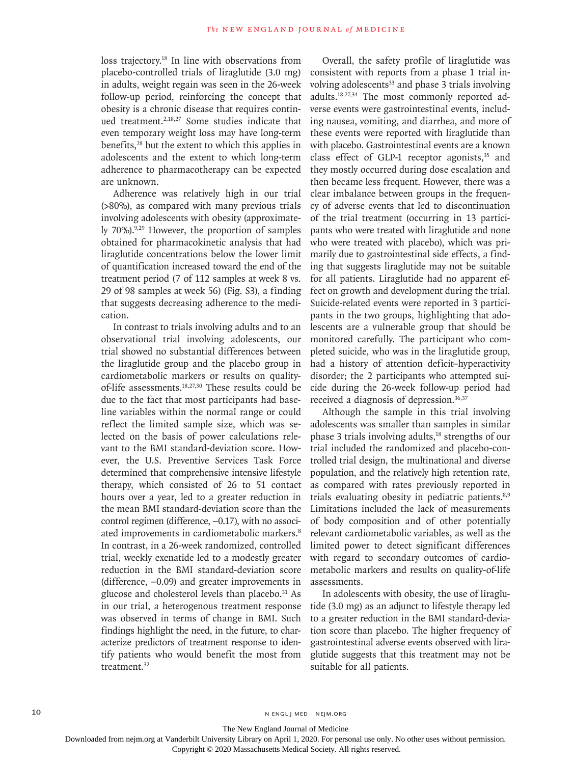loss trajectory.18 In line with observations from placebo-controlled trials of liraglutide (3.0 mg) in adults, weight regain was seen in the 26-week follow-up period, reinforcing the concept that obesity is a chronic disease that requires continued treatment.2,18,27 Some studies indicate that even temporary weight loss may have long-term benefits,<sup>28</sup> but the extent to which this applies in adolescents and the extent to which long-term adherence to pharmacotherapy can be expected are unknown.

Adherence was relatively high in our trial (>80%), as compared with many previous trials involving adolescents with obesity (approximately 70%).<sup>9,29</sup> However, the proportion of samples obtained for pharmacokinetic analysis that had liraglutide concentrations below the lower limit of quantification increased toward the end of the treatment period (7 of 112 samples at week 8 vs. 29 of 98 samples at week 56) (Fig. S3), a finding that suggests decreasing adherence to the medication.

In contrast to trials involving adults and to an observational trial involving adolescents, our trial showed no substantial differences between the liraglutide group and the placebo group in cardiometabolic markers or results on qualityof-life assessments.18,27,30 These results could be due to the fact that most participants had baseline variables within the normal range or could reflect the limited sample size, which was selected on the basis of power calculations relevant to the BMI standard-deviation score. However, the U.S. Preventive Services Task Force determined that comprehensive intensive lifestyle therapy, which consisted of 26 to 51 contact hours over a year, led to a greater reduction in the mean BMI standard-deviation score than the control regimen (difference, –0.17), with no associated improvements in cardiometabolic markers.<sup>8</sup> In contrast, in a 26-week randomized, controlled trial, weekly exenatide led to a modestly greater reduction in the BMI standard-deviation score (difference, –0.09) and greater improvements in glucose and cholesterol levels than placebo.<sup>31</sup> As in our trial, a heterogenous treatment response was observed in terms of change in BMI. Such findings highlight the need, in the future, to characterize predictors of treatment response to identify patients who would benefit the most from treatment.<sup>32</sup>

Overall, the safety profile of liraglutide was consistent with reports from a phase 1 trial involving adolescents<sup>33</sup> and phase 3 trials involving adults.18,27,34 The most commonly reported adverse events were gastrointestinal events, including nausea, vomiting, and diarrhea, and more of these events were reported with liraglutide than with placebo. Gastrointestinal events are a known class effect of GLP-1 receptor agonists, $35$  and they mostly occurred during dose escalation and then became less frequent. However, there was a clear imbalance between groups in the frequency of adverse events that led to discontinuation of the trial treatment (occurring in 13 participants who were treated with liraglutide and none who were treated with placebo), which was primarily due to gastrointestinal side effects, a finding that suggests liraglutide may not be suitable for all patients. Liraglutide had no apparent effect on growth and development during the trial. Suicide-related events were reported in 3 participants in the two groups, highlighting that adolescents are a vulnerable group that should be monitored carefully. The participant who completed suicide, who was in the liraglutide group, had a history of attention deficit–hyperactivity disorder; the 2 participants who attempted suicide during the 26-week follow-up period had received a diagnosis of depression.36,37

Although the sample in this trial involving adolescents was smaller than samples in similar phase 3 trials involving adults,<sup>18</sup> strengths of our trial included the randomized and placebo-controlled trial design, the multinational and diverse population, and the relatively high retention rate, as compared with rates previously reported in trials evaluating obesity in pediatric patients.<sup>8,9</sup> Limitations included the lack of measurements of body composition and of other potentially relevant cardiometabolic variables, as well as the limited power to detect significant differences with regard to secondary outcomes of cardiometabolic markers and results on quality-of-life assessments.

In adolescents with obesity, the use of liraglutide (3.0 mg) as an adjunct to lifestyle therapy led to a greater reduction in the BMI standard-deviation score than placebo. The higher frequency of gastrointestinal adverse events observed with liraglutide suggests that this treatment may not be suitable for all patients.

10 N ENGL J MED NEJM.ORG

The New England Journal of Medicine

Downloaded from nejm.org at Vanderbilt University Library on April 1, 2020. For personal use only. No other uses without permission.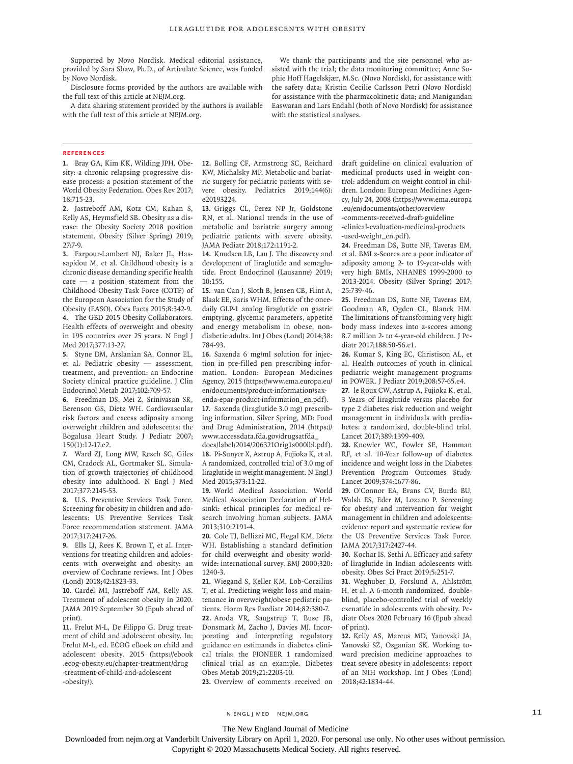Supported by Novo Nordisk. Medical editorial assistance, provided by Sara Shaw, Ph.D., of Articulate Science, was funded by Novo Nordisk.

Disclosure forms provided by the authors are available with the full text of this article at NEJM.org.

A data sharing statement provided by the authors is available with the full text of this article at NEJM.org.

We thank the participants and the site personnel who assisted with the trial; the data monitoring committee; Anne Sophie Hoff Hagelskjær, M.Sc. (Novo Nordisk), for assistance with the safety data; Kristin Cecilie Carlsson Petri (Novo Nordisk) for assistance with the pharmacokinetic data; and Manigandan Easwaran and Lars Endahl (both of Novo Nordisk) for assistance with the statistical analyses.

#### **References**

**1.** Bray GA, Kim KK, Wilding JPH. Obesity: a chronic relapsing progressive disease process: a position statement of the World Obesity Federation. Obes Rev 2017; 18:715-23.

**2.** Jastreboff AM, Kotz CM, Kahan S, Kelly AS, Heymsfield SB. Obesity as a disease: the Obesity Society 2018 position statement. Obesity (Silver Spring) 2019; 27:7-9.

**3.** Farpour-Lambert NJ, Baker JL, Hassapidou M, et al. Childhood obesity is a chronic disease demanding specific health care — a position statement from the Childhood Obesity Task Force (COTF) of the European Association for the Study of Obesity (EASO). Obes Facts 2015;8:342-9. **4.** The GBD 2015 Obesity Collaborators. Health effects of overweight and obesity

in 195 countries over 25 years. N Engl J Med 2017;377:13-27. **5.** Styne DM, Arslanian SA, Connor EL,

et al. Pediatric obesity — assessment, treatment, and prevention: an Endocrine Society clinical practice guideline. J Clin Endocrinol Metab 2017;102:709-57.

**6.** Freedman DS, Mei Z, Srinivasan SR, Berenson GS, Dietz WH. Cardiovascular risk factors and excess adiposity among overweight children and adolescents: the Bogalusa Heart Study. J Pediatr 2007; 150(1):12-17.e2.

**7.** Ward ZJ, Long MW, Resch SC, Giles CM, Cradock AL, Gortmaker SL. Simulation of growth trajectories of childhood obesity into adulthood. N Engl J Med 2017;377:2145-53.

**8.** U.S. Preventive Services Task Force. Screening for obesity in children and adolescents: US Preventive Services Task Force recommendation statement. JAMA 2017;317:2417-26.

**9.** Ells LJ, Rees K, Brown T, et al. Interventions for treating children and adolescents with overweight and obesity: an overview of Cochrane reviews. Int J Obes (Lond) 2018;42:1823-33.

**10.** Cardel MI, Jastreboff AM, Kelly AS. Treatment of adolescent obesity in 2020. JAMA 2019 September 30 (Epub ahead of print).

**11.** Frelut M-L, De Filippo G. Drug treatment of child and adolescent obesity. In: Frelut M-L, ed. ECOG eBook on child and adolescent obesity. 2015 (https://ebook .ecog-obesity.eu/chapter-treatment/drug -treatment-of-child-and-adolescent -obesity/).

**12.** Bolling CF, Armstrong SC, Reichard KW, Michalsky MP. Metabolic and bariatric surgery for pediatric patients with severe obesity. Pediatrics 2019;144(6): e20193224.

**13.** Griggs CL, Perez NP Jr, Goldstone RN, et al. National trends in the use of metabolic and bariatric surgery among pediatric patients with severe obesity. JAMA Pediatr 2018;172:1191-2.

**14.** Knudsen LB, Lau J. The discovery and development of liraglutide and semaglutide. Front Endocrinol (Lausanne) 2019; 10:155.

**15.** van Can J, Sloth B, Jensen CB, Flint A, Blaak EE, Saris WHM. Effects of the oncedaily GLP-1 analog liraglutide on gastric emptying, glycemic parameters, appetite and energy metabolism in obese, nondiabetic adults. Int J Obes (Lond) 2014;38: 784-93.

**16.** Saxenda 6 mg/ml solution for injection in pre-filled pen prescribing information. London: European Medicines Agency, 2015 (https://www.ema.europa.eu/ en/documents/product-information/sax-

enda-epar-product-information\_en.pdf). **17.** Saxenda (liraglutide 3.0 mg) prescribing information. Silver Spring, MD: Food and Drug Administration, 2014 (https:// www.accessdata.fda.gov/drugsatfda\_

docs/label/2014/206321Orig1s000lbl.pdf). **18.** Pi-Sunyer X, Astrup A, Fujioka K, et al. A randomized, controlled trial of 3.0 mg of liraglutide in weight management. N Engl J Med 2015;373:11-22.

**19.** World Medical Association. World Medical Association Declaration of Helsinki: ethical principles for medical research involving human subjects. JAMA 2013;310:2191-4.

**20.** Cole TJ, Bellizzi MC, Flegal KM, Dietz WH. Establishing a standard definition for child overweight and obesity worldwide: international survey. BMJ 2000;320: 1240-3.

**21.** Wiegand S, Keller KM, Lob-Corzilius T, et al. Predicting weight loss and maintenance in overweight/obese pediatric patients. Horm Res Paediatr 2014;82:380-7. **22.** Aroda VR, Saugstrup T, Buse JB, Donsmark M, Zacho J, Davies MJ. Incorporating and interpreting regulatory guidance on estimands in diabetes clinical trials: the PIONEER 1 randomized clinical trial as an example. Diabetes Obes Metab 2019;21:2203-10.

**23.** Overview of comments received on

draft guideline on clinical evaluation of medicinal products used in weight control: addendum on weight control in children. London: European Medicines Agency, July 24, 2008 (https://www.ema.europa .eu/en/documents/other/overview -comments-received-draft-guideline -clinical-evaluation-medicinal-products -used-weight\_en.pdf).

**24.** Freedman DS, Butte NF, Taveras EM, et al. BMI z-Scores are a poor indicator of adiposity among 2- to 19-year-olds with very high BMIs, NHANES 1999-2000 to 2013-2014. Obesity (Silver Spring) 2017; 25:739-46.

**25.** Freedman DS, Butte NF, Taveras EM, Goodman AB, Ogden CL, Blanck HM. The limitations of transforming very high body mass indexes into z-scores among 8.7 million 2- to 4-year-old children. J Pediatr 2017;188:50-56.e1.

**26.** Kumar S, King EC, Christison AL, et al. Health outcomes of youth in clinical pediatric weight management programs in POWER. J Pediatr 2019;208:57-65.e4.

**27.** le Roux CW, Astrup A, Fujioka K, et al. 3 Years of liraglutide versus placebo for type 2 diabetes risk reduction and weight management in individuals with prediabetes: a randomised, double-blind trial. Lancet 2017;389:1399-409.

**28.** Knowler WC, Fowler SE, Hamman RF, et al. 10-Year follow-up of diabetes incidence and weight loss in the Diabetes Prevention Program Outcomes Study. Lancet 2009;374:1677-86.

**29.** O'Connor EA, Evans CV, Burda BU, Walsh ES, Eder M, Lozano P. Screening for obesity and intervention for weight management in children and adolescents: evidence report and systematic review for the US Preventive Services Task Force. JAMA 2017;317:2427-44.

**30.** Kochar IS, Sethi A. Efficacy and safety of liraglutide in Indian adolescents with obesity. Obes Sci Pract 2019;5:251-7.

**31.** Weghuber D, Forslund A, Ahlström H, et al. A 6-month randomized, doubleblind, placebo-controlled trial of weekly exenatide in adolescents with obesity. Pediatr Obes 2020 February 16 (Epub ahead of print).

**32.** Kelly AS, Marcus MD, Yanovski JA, Yanovski SZ, Osganian SK. Working toward precision medicine approaches to treat severe obesity in adolescents: report of an NIH workshop. Int J Obes (Lond) 2018;42:1834-44.

The New England Journal of Medicine

Downloaded from nejm.org at Vanderbilt University Library on April 1, 2020. For personal use only. No other uses without permission.